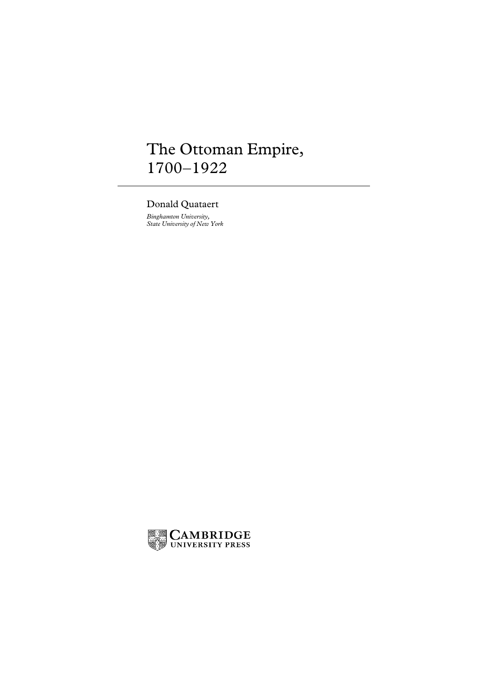# Donald Quataert

Binghamton University, State University of New York

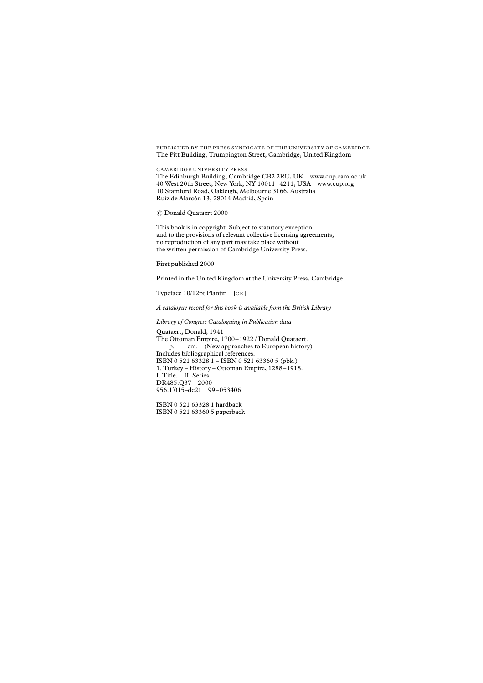PUBLISHED BY THE PRESS SYNDICATE OF THE UNIVERSITY OF CAMBRIDGE The Pitt Building, Trumpington Street, Cambridge, United Kingdom

CAMBRIDGE UNIVERSITY PRESS

The Edinburgh Building, Cambridge CB2 2RU, UK www.cup.cam.ac.uk 40 West 20th Street, New York, NY 10011-4211, USA www.cup.org 10 Stamford Road, Oakleigh, Melbourne 3166, Australia Ruiz de Alarcón 13, 28014 Madrid, Spain

C Donald Quataert 2000

This book is in copyright. Subject to statutory exception and to the provisions of relevant collective licensing agreements, no reproduction of any part may take place without the written permission of Cambridge University Press.

First published 2000

Printed in the United Kingdom at the University Press, Cambridge

Typeface 10/12pt Plantin [CE]

A catalogue record for this book is available from the British Library

Library of Congress Cataloguing in Publication data

Quataert, Donald, 1941± The Ottoman Empire, 1700-1922 / Donald Quataert. p.  $cm. - (New approaches to European history)$ Includes bibliographical references. ISBN 0 521 63328 1 - ISBN 0 521 63360 5 (pbk.) 1. Turkey - History - Ottoman Empire, 1288-1918. I. Title. II. Series. DR485.Q37 2000 956.1'015-dc21 99-053406

ISBN 0 521 63328 1 hardback ISBN 0 521 63360 5 paperback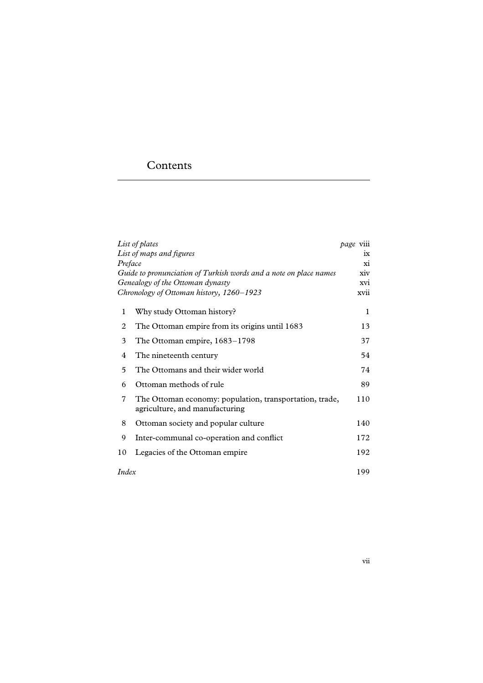# **Contents**

|         | List of plates                                                                            | <i>page</i> viii |              |
|---------|-------------------------------------------------------------------------------------------|------------------|--------------|
|         | List of maps and figures                                                                  |                  | ix           |
| Preface |                                                                                           |                  | xi           |
|         | Guide to pronunciation of Turkish words and a note on place names                         |                  | xiv          |
|         | Genealogy of the Ottoman dynasty                                                          |                  | xvi          |
|         | Chronology of Ottoman history, 1260-1923                                                  |                  | xvii         |
| 1       | Why study Ottoman history?                                                                |                  | $\mathbf{1}$ |
| 2       | The Ottoman empire from its origins until 1683                                            |                  | 13           |
| 3       | The Ottoman empire, 1683-1798                                                             |                  | 37           |
| 4       | The nineteenth century                                                                    |                  | 54           |
| 5       | The Ottomans and their wider world                                                        |                  | 74           |
| 6       | Ottoman methods of rule                                                                   |                  | 89           |
| 7       | The Ottoman economy: population, transportation, trade,<br>agriculture, and manufacturing |                  | 110          |
| 8       | Ottoman society and popular culture                                                       |                  | 140          |
| 9       | Inter-communal co-operation and conflict                                                  |                  | 172          |
| 10      | Legacies of the Ottoman empire                                                            |                  | 192          |
| Index   |                                                                                           |                  | 199          |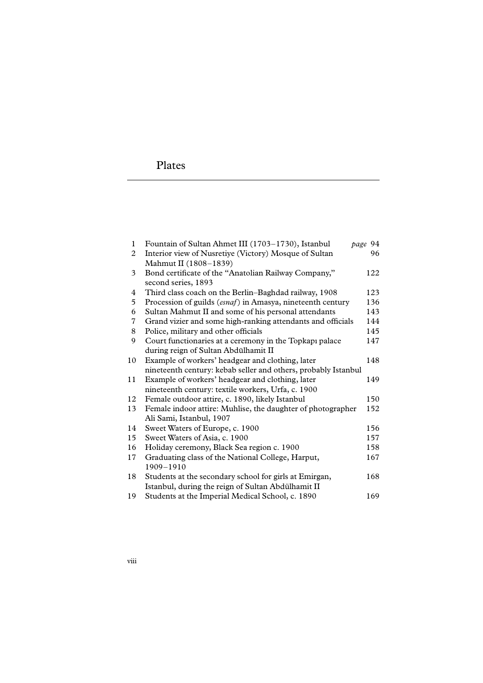# Plates

| 1  | Fountain of Sultan Ahmet III (1703-1730), Istanbul             | page 94 |
|----|----------------------------------------------------------------|---------|
| 2  | Interior view of Nusretiye (Victory) Mosque of Sultan          | 96      |
|    | Mahmut II (1808-1839)                                          |         |
| 3  | Bond certificate of the "Anatolian Railway Company,"           | 122     |
|    | second series, 1893                                            |         |
| 4  | Third class coach on the Berlin-Baghdad railway, 1908          | 123     |
| 5  | Procession of guilds (esnaf) in Amasya, nineteenth century     | 136     |
| 6  | Sultan Mahmut II and some of his personal attendants           | 143     |
| 7  | Grand vizier and some high-ranking attendants and officials    | 144     |
| 8  | Police, military and other officials                           | 145     |
| 9  | Court functionaries at a ceremony in the Topkapi palace        | 147     |
|    | during reign of Sultan Abdülhamit II                           |         |
| 10 | Example of workers' headgear and clothing, later               | 148     |
|    | nineteenth century: kebab seller and others, probably Istanbul |         |
| 11 | Example of workers' headgear and clothing, later               | 149     |
|    | nineteenth century: textile workers, Urfa, c. 1900             |         |
| 12 | Female outdoor attire, c. 1890, likely Istanbul                | 150     |
| 13 | Female indoor attire: Muhlise, the daughter of photographer    | 152     |
|    | Ali Sami, Istanbul, 1907                                       |         |
| 14 | Sweet Waters of Europe, c. 1900                                | 156     |
| 15 | Sweet Waters of Asia, c. 1900                                  | 157     |
| 16 | Holiday ceremony, Black Sea region c. 1900                     | 158     |
| 17 | Graduating class of the National College, Harput,              | 167     |
|    | 1909-1910                                                      |         |
| 18 | Students at the secondary school for girls at Emirgan,         | 168     |
|    | Istanbul, during the reign of Sultan Abdülhamit II             |         |
| 19 | Students at the Imperial Medical School, c. 1890               | 169     |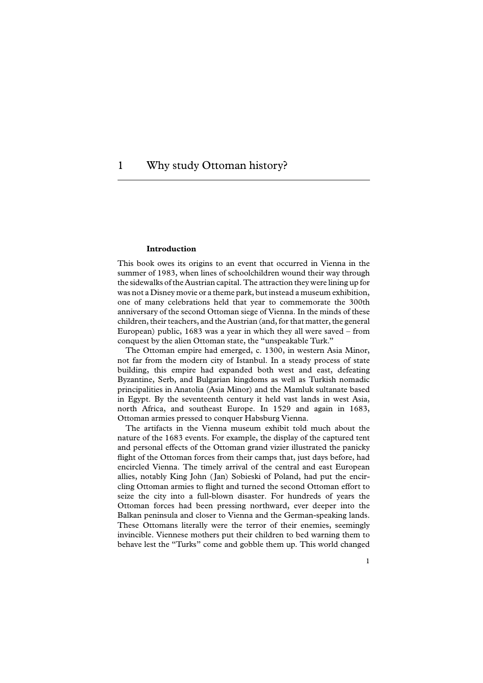# Introduction

This book owes its origins to an event that occurred in Vienna in the summer of 1983, when lines of schoolchildren wound their way through the sidewalks of the Austrian capital. The attraction they were lining up for was not a Disney movie or a theme park, but instead a museum exhibition, one of many celebrations held that year to commemorate the 300th anniversary of the second Ottoman siege of Vienna. In the minds of these children, their teachers, and the Austrian (and, for that matter, the general European) public,  $1683$  was a year in which they all were saved  $-$  from conquest by the alien Ottoman state, the "unspeakable Turk."

The Ottoman empire had emerged, c. 1300, in western Asia Minor, not far from the modern city of Istanbul. In a steady process of state building, this empire had expanded both west and east, defeating Byzantine, Serb, and Bulgarian kingdoms as well as Turkish nomadic principalities in Anatolia (Asia Minor) and the Mamluk sultanate based in Egypt. By the seventeenth century it held vast lands in west Asia, north Africa, and southeast Europe. In 1529 and again in 1683, Ottoman armies pressed to conquer Habsburg Vienna.

The artifacts in the Vienna museum exhibit told much about the nature of the 1683 events. For example, the display of the captured tent and personal effects of the Ottoman grand vizier illustrated the panicky flight of the Ottoman forces from their camps that, just days before, had encircled Vienna. The timely arrival of the central and east European allies, notably King John ( Jan) Sobieski of Poland, had put the encircling Ottoman armies to flight and turned the second Ottoman effort to seize the city into a full-blown disaster. For hundreds of years the Ottoman forces had been pressing northward, ever deeper into the Balkan peninsula and closer to Vienna and the German-speaking lands. These Ottomans literally were the terror of their enemies, seemingly invincible. Viennese mothers put their children to bed warning them to behave lest the "Turks" come and gobble them up. This world changed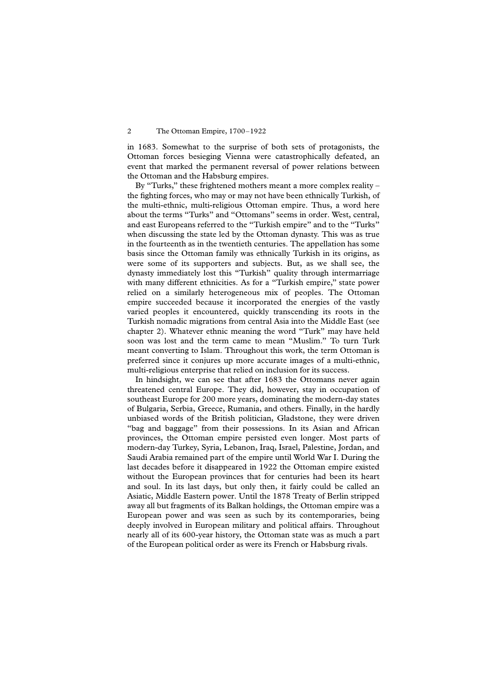in 1683. Somewhat to the surprise of both sets of protagonists, the Ottoman forces besieging Vienna were catastrophically defeated, an event that marked the permanent reversal of power relations between the Ottoman and the Habsburg empires.

By "Turks," these frightened mothers meant a more complex reality  $$ the fighting forces, who may or may not have been ethnically Turkish, of the multi-ethnic, multi-religious Ottoman empire. Thus, a word here about the terms "Turks" and "Ottomans" seems in order. West, central, and east Europeans referred to the "Turkish empire" and to the "Turks" when discussing the state led by the Ottoman dynasty. This was as true in the fourteenth as in the twentieth centuries. The appellation has some basis since the Ottoman family was ethnically Turkish in its origins, as were some of its supporters and subjects. But, as we shall see, the dynasty immediately lost this "Turkish" quality through intermarriage with many different ethnicities. As for a "Turkish empire," state power relied on a similarly heterogeneous mix of peoples. The Ottoman empire succeeded because it incorporated the energies of the vastly varied peoples it encountered, quickly transcending its roots in the Turkish nomadic migrations from central Asia into the Middle East (see chapter 2). Whatever ethnic meaning the word "Turk" may have held soon was lost and the term came to mean "Muslim." To turn Turk meant converting to Islam. Throughout this work, the term Ottoman is preferred since it conjures up more accurate images of a multi-ethnic, multi-religious enterprise that relied on inclusion for its success.

In hindsight, we can see that after 1683 the Ottomans never again threatened central Europe. They did, however, stay in occupation of southeast Europe for 200 more years, dominating the modern-day states of Bulgaria, Serbia, Greece, Rumania, and others. Finally, in the hardly unbiased words of the British politician, Gladstone, they were driven ``bag and baggage'' from their possessions. In its Asian and African provinces, the Ottoman empire persisted even longer. Most parts of modern-day Turkey, Syria, Lebanon, Iraq, Israel, Palestine, Jordan, and Saudi Arabia remained part of the empire until World War I. During the last decades before it disappeared in 1922 the Ottoman empire existed without the European provinces that for centuries had been its heart and soul. In its last days, but only then, it fairly could be called an Asiatic, Middle Eastern power. Until the 1878 Treaty of Berlin stripped away all but fragments of its Balkan holdings, the Ottoman empire was a European power and was seen as such by its contemporaries, being deeply involved in European military and political affairs. Throughout nearly all of its 600-year history, the Ottoman state was as much a part of the European political order as were its French or Habsburg rivals.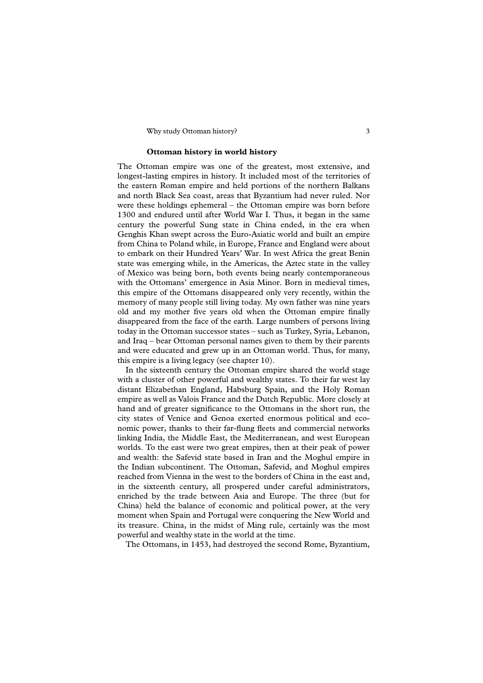## Ottoman history in world history

The Ottoman empire was one of the greatest, most extensive, and longest-lasting empires in history. It included most of the territories of the eastern Roman empire and held portions of the northern Balkans and north Black Sea coast, areas that Byzantium had never ruled. Nor were these holdings ephemeral  $-$  the Ottoman empire was born before 1300 and endured until after World War I. Thus, it began in the same century the powerful Sung state in China ended, in the era when Genghis Khan swept across the Euro-Asiatic world and built an empire from China to Poland while, in Europe, France and England were about to embark on their Hundred Years' War. In west Africa the great Benin state was emerging while, in the Americas, the Aztec state in the valley of Mexico was being born, both events being nearly contemporaneous with the Ottomans' emergence in Asia Minor. Born in medieval times, this empire of the Ottomans disappeared only very recently, within the memory of many people still living today. My own father was nine years old and my mother five years old when the Ottoman empire finally disappeared from the face of the earth. Large numbers of persons living today in the Ottoman successor states - such as Turkey, Syria, Lebanon, and Iraq – bear Ottoman personal names given to them by their parents and were educated and grew up in an Ottoman world. Thus, for many, this empire is a living legacy (see chapter 10).

In the sixteenth century the Ottoman empire shared the world stage with a cluster of other powerful and wealthy states. To their far west lay distant Elizabethan England, Habsburg Spain, and the Holy Roman empire as well as Valois France and the Dutch Republic. More closely at hand and of greater significance to the Ottomans in the short run, the city states of Venice and Genoa exerted enormous political and economic power, thanks to their far-flung fleets and commercial networks linking India, the Middle East, the Mediterranean, and west European worlds. To the east were two great empires, then at their peak of power and wealth: the Safevid state based in Iran and the Moghul empire in the Indian subcontinent. The Ottoman, Safevid, and Moghul empires reached from Vienna in the west to the borders of China in the east and, in the sixteenth century, all prospered under careful administrators, enriched by the trade between Asia and Europe. The three (but for China) held the balance of economic and political power, at the very moment when Spain and Portugal were conquering the New World and its treasure. China, in the midst of Ming rule, certainly was the most powerful and wealthy state in the world at the time.

The Ottomans, in 1453, had destroyed the second Rome, Byzantium,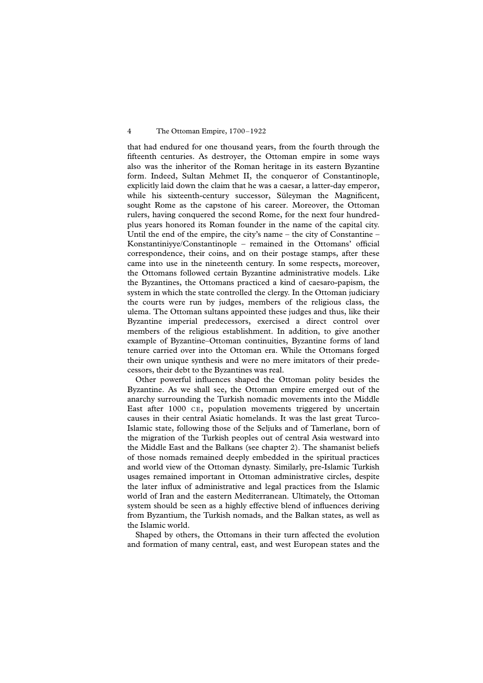that had endured for one thousand years, from the fourth through the fifteenth centuries. As destroyer, the Ottoman empire in some ways also was the inheritor of the Roman heritage in its eastern Byzantine form. Indeed, Sultan Mehmet II, the conqueror of Constantinople, explicitly laid down the claim that he was a caesar, a latter-day emperor, while his sixteenth-century successor, Süleyman the Magnificent, sought Rome as the capstone of his career. Moreover, the Ottoman rulers, having conquered the second Rome, for the next four hundredplus years honored its Roman founder in the name of the capital city. Until the end of the empire, the city's name  $-$  the city of Constantine  $-$ Konstantiniyye/Constantinople - remained in the Ottomans' official correspondence, their coins, and on their postage stamps, after these came into use in the nineteenth century. In some respects, moreover, the Ottomans followed certain Byzantine administrative models. Like the Byzantines, the Ottomans practiced a kind of caesaro-papism, the system in which the state controlled the clergy. In the Ottoman judiciary the courts were run by judges, members of the religious class, the ulema. The Ottoman sultans appointed these judges and thus, like their Byzantine imperial predecessors, exercised a direct control over members of the religious establishment. In addition, to give another example of Byzantine-Ottoman continuities, Byzantine forms of land tenure carried over into the Ottoman era. While the Ottomans forged their own unique synthesis and were no mere imitators of their predecessors, their debt to the Byzantines was real.

Other powerful influences shaped the Ottoman polity besides the Byzantine. As we shall see, the Ottoman empire emerged out of the anarchy surrounding the Turkish nomadic movements into the Middle East after 1000 CE, population movements triggered by uncertain causes in their central Asiatic homelands. It was the last great Turco-Islamic state, following those of the Seljuks and of Tamerlane, born of the migration of the Turkish peoples out of central Asia westward into the Middle East and the Balkans (see chapter 2). The shamanist beliefs of those nomads remained deeply embedded in the spiritual practices and world view of the Ottoman dynasty. Similarly, pre-Islamic Turkish usages remained important in Ottoman administrative circles, despite the later influx of administrative and legal practices from the Islamic world of Iran and the eastern Mediterranean. Ultimately, the Ottoman system should be seen as a highly effective blend of influences deriving from Byzantium, the Turkish nomads, and the Balkan states, as well as the Islamic world.

Shaped by others, the Ottomans in their turn affected the evolution and formation of many central, east, and west European states and the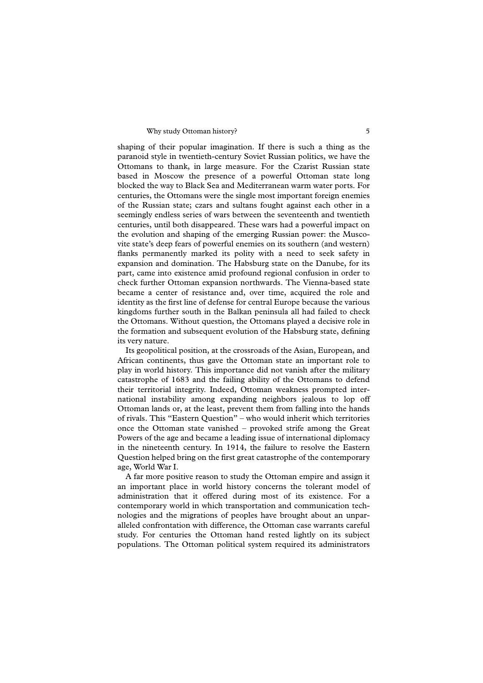shaping of their popular imagination. If there is such a thing as the paranoid style in twentieth-century Soviet Russian politics, we have the Ottomans to thank, in large measure. For the Czarist Russian state based in Moscow the presence of a powerful Ottoman state long blocked the way to Black Sea and Mediterranean warm water ports. For centuries, the Ottomans were the single most important foreign enemies of the Russian state; czars and sultans fought against each other in a seemingly endless series of wars between the seventeenth and twentieth centuries, until both disappeared. These wars had a powerful impact on the evolution and shaping of the emerging Russian power: the Muscovite state's deep fears of powerful enemies on its southern (and western) flanks permanently marked its polity with a need to seek safety in expansion and domination. The Habsburg state on the Danube, for its part, came into existence amid profound regional confusion in order to check further Ottoman expansion northwards. The Vienna-based state became a center of resistance and, over time, acquired the role and identity as the first line of defense for central Europe because the various kingdoms further south in the Balkan peninsula all had failed to check the Ottomans. Without question, the Ottomans played a decisive role in the formation and subsequent evolution of the Habsburg state, defining its very nature.

Its geopolitical position, at the crossroads of the Asian, European, and African continents, thus gave the Ottoman state an important role to play in world history. This importance did not vanish after the military catastrophe of 1683 and the failing ability of the Ottomans to defend their territorial integrity. Indeed, Ottoman weakness prompted international instability among expanding neighbors jealous to lop off Ottoman lands or, at the least, prevent them from falling into the hands of rivals. This "Eastern Question" - who would inherit which territories once the Ottoman state vanished  $-$  provoked strife among the Great Powers of the age and became a leading issue of international diplomacy in the nineteenth century. In 1914, the failure to resolve the Eastern Question helped bring on the first great catastrophe of the contemporary age, World War I.

A far more positive reason to study the Ottoman empire and assign it an important place in world history concerns the tolerant model of administration that it offered during most of its existence. For a contemporary world in which transportation and communication technologies and the migrations of peoples have brought about an unparalleled confrontation with difference, the Ottoman case warrants careful study. For centuries the Ottoman hand rested lightly on its subject populations. The Ottoman political system required its administrators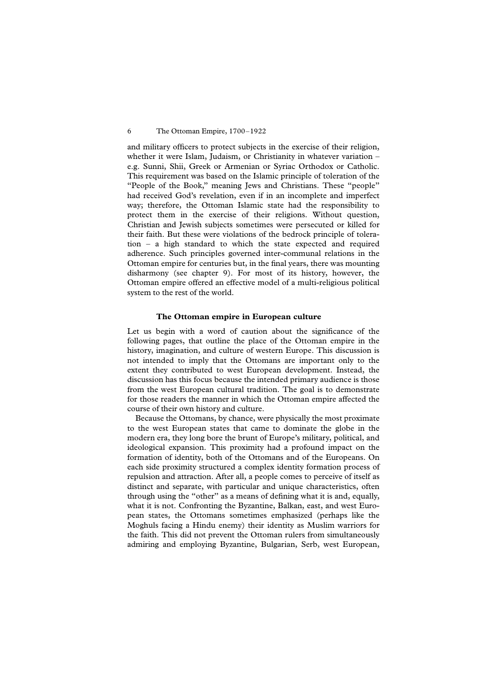and military officers to protect subjects in the exercise of their religion, whether it were Islam, Judaism, or Christianity in whatever variation  $$ e.g. Sunni, Shii, Greek or Armenian or Syriac Orthodox or Catholic. This requirement was based on the Islamic principle of toleration of the ``People of the Book,'' meaning Jews and Christians. These ``people'' had received God's revelation, even if in an incomplete and imperfect way; therefore, the Ottoman Islamic state had the responsibility to protect them in the exercise of their religions. Without question, Christian and Jewish subjects sometimes were persecuted or killed for their faith. But these were violations of the bedrock principle of tolera $tion - a high standard to which the state expected and required$ adherence. Such principles governed inter-communal relations in the Ottoman empire for centuries but, in the final years, there was mounting disharmony (see chapter 9). For most of its history, however, the Ottoman empire offered an effective model of a multi-religious political system to the rest of the world.

#### The Ottoman empire in European culture

Let us begin with a word of caution about the significance of the following pages, that outline the place of the Ottoman empire in the history, imagination, and culture of western Europe. This discussion is not intended to imply that the Ottomans are important only to the extent they contributed to west European development. Instead, the discussion has this focus because the intended primary audience is those from the west European cultural tradition. The goal is to demonstrate for those readers the manner in which the Ottoman empire affected the course of their own history and culture.

Because the Ottomans, by chance, were physically the most proximate to the west European states that came to dominate the globe in the modern era, they long bore the brunt of Europe's military, political, and ideological expansion. This proximity had a profound impact on the formation of identity, both of the Ottomans and of the Europeans. On each side proximity structured a complex identity formation process of repulsion and attraction. After all, a people comes to perceive of itself as distinct and separate, with particular and unique characteristics, often through using the "other" as a means of defining what it is and, equally, what it is not. Confronting the Byzantine, Balkan, east, and west European states, the Ottomans sometimes emphasized (perhaps like the Moghuls facing a Hindu enemy) their identity as Muslim warriors for the faith. This did not prevent the Ottoman rulers from simultaneously admiring and employing Byzantine, Bulgarian, Serb, west European,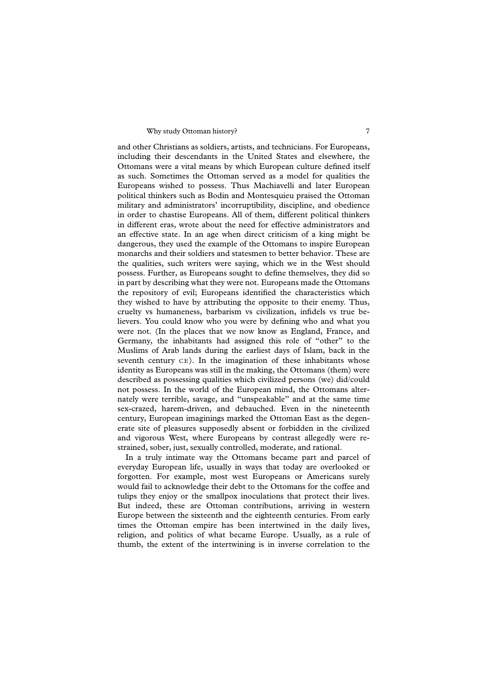and other Christians as soldiers, artists, and technicians. For Europeans, including their descendants in the United States and elsewhere, the Ottomans were a vital means by which European culture defined itself as such. Sometimes the Ottoman served as a model for qualities the Europeans wished to possess. Thus Machiavelli and later European political thinkers such as Bodin and Montesquieu praised the Ottoman military and administrators' incorruptibility, discipline, and obedience in order to chastise Europeans. All of them, different political thinkers in different eras, wrote about the need for effective administrators and an effective state. In an age when direct criticism of a king might be dangerous, they used the example of the Ottomans to inspire European monarchs and their soldiers and statesmen to better behavior. These are the qualities, such writers were saying, which we in the West should possess. Further, as Europeans sought to define themselves, they did so in part by describing what they were not. Europeans made the Ottomans the repository of evil; Europeans identified the characteristics which they wished to have by attributing the opposite to their enemy. Thus, cruelty vs humaneness, barbarism vs civilization, infidels vs true believers. You could know who you were by defining who and what you were not. (In the places that we now know as England, France, and Germany, the inhabitants had assigned this role of "other" to the Muslims of Arab lands during the earliest days of Islam, back in the seventh century CE). In the imagination of these inhabitants whose identity as Europeans was still in the making, the Ottomans (them) were described as possessing qualities which civilized persons (we) did/could not possess. In the world of the European mind, the Ottomans alternately were terrible, savage, and "unspeakable" and at the same time sex-crazed, harem-driven, and debauched. Even in the nineteenth century, European imaginings marked the Ottoman East as the degenerate site of pleasures supposedly absent or forbidden in the civilized and vigorous West, where Europeans by contrast allegedly were restrained, sober, just, sexually controlled, moderate, and rational.

In a truly intimate way the Ottomans became part and parcel of everyday European life, usually in ways that today are overlooked or forgotten. For example, most west Europeans or Americans surely would fail to acknowledge their debt to the Ottomans for the coffee and tulips they enjoy or the smallpox inoculations that protect their lives. But indeed, these are Ottoman contributions, arriving in western Europe between the sixteenth and the eighteenth centuries. From early times the Ottoman empire has been intertwined in the daily lives, religion, and politics of what became Europe. Usually, as a rule of thumb, the extent of the intertwining is in inverse correlation to the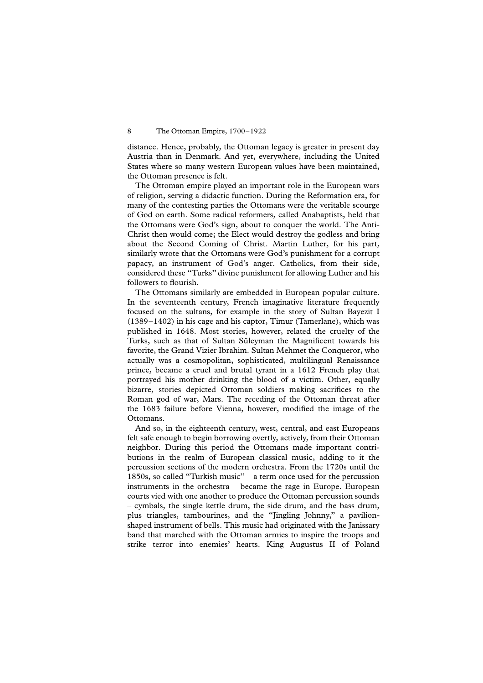distance. Hence, probably, the Ottoman legacy is greater in present day Austria than in Denmark. And yet, everywhere, including the United States where so many western European values have been maintained, the Ottoman presence is felt.

The Ottoman empire played an important role in the European wars of religion, serving a didactic function. During the Reformation era, for many of the contesting parties the Ottomans were the veritable scourge of God on earth. Some radical reformers, called Anabaptists, held that the Ottomans were God's sign, about to conquer the world. The Anti-Christ then would come; the Elect would destroy the godless and bring about the Second Coming of Christ. Martin Luther, for his part, similarly wrote that the Ottomans were God's punishment for a corrupt papacy, an instrument of God's anger. Catholics, from their side, considered these "Turks" divine punishment for allowing Luther and his followers to flourish.

The Ottomans similarly are embedded in European popular culture. In the seventeenth century, French imaginative literature frequently focused on the sultans, for example in the story of Sultan Bayezit I  $(1389-1402)$  in his cage and his captor, Timur (Tamerlane), which was published in 1648. Most stories, however, related the cruelty of the Turks, such as that of Sultan Süleyman the Magnificent towards his favorite, the Grand Vizier Ibrahim. Sultan Mehmet the Conqueror, who actually was a cosmopolitan, sophisticated, multilingual Renaissance prince, became a cruel and brutal tyrant in a 1612 French play that portrayed his mother drinking the blood of a victim. Other, equally bizarre, stories depicted Ottoman soldiers making sacrifices to the Roman god of war, Mars. The receding of the Ottoman threat after the 1683 failure before Vienna, however, modified the image of the Ottomans.

And so, in the eighteenth century, west, central, and east Europeans felt safe enough to begin borrowing overtly, actively, from their Ottoman neighbor. During this period the Ottomans made important contributions in the realm of European classical music, adding to it the percussion sections of the modern orchestra. From the 1720s until the 1850s, so called "Turkish music"  $-$  a term once used for the percussion  $in$ struments in the orchestra  $-$  became the rage in Europe. European courts vied with one another to produce the Ottoman percussion sounds ± cymbals, the single kettle drum, the side drum, and the bass drum, plus triangles, tambourines, and the "Jingling Johnny," a pavilionshaped instrument of bells. This music had originated with the Janissary band that marched with the Ottoman armies to inspire the troops and strike terror into enemies' hearts. King Augustus II of Poland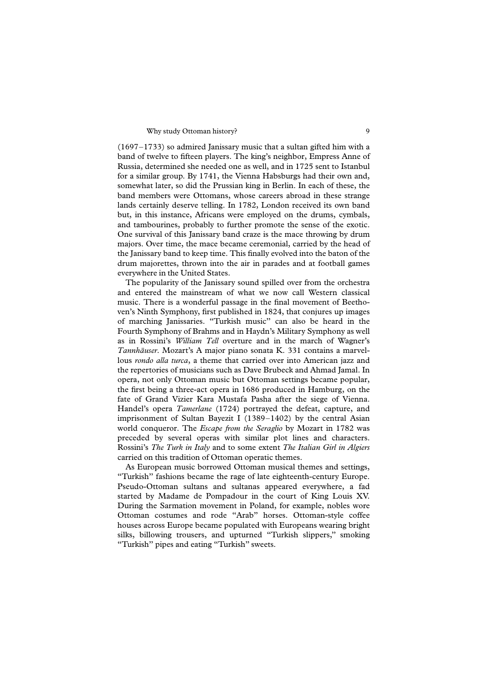$(1697-1733)$  so admired Janissary music that a sultan gifted him with a band of twelve to fifteen players. The king's neighbor, Empress Anne of Russia, determined she needed one as well, and in 1725 sent to Istanbul for a similar group. By 1741, the Vienna Habsburgs had their own and, somewhat later, so did the Prussian king in Berlin. In each of these, the band members were Ottomans, whose careers abroad in these strange lands certainly deserve telling. In 1782, London received its own band but, in this instance, Africans were employed on the drums, cymbals, and tambourines, probably to further promote the sense of the exotic. One survival of this Janissary band craze is the mace throwing by drum majors. Over time, the mace became ceremonial, carried by the head of the Janissary band to keep time. This finally evolved into the baton of the drum majorettes, thrown into the air in parades and at football games everywhere in the United States.

The popularity of the Janissary sound spilled over from the orchestra and entered the mainstream of what we now call Western classical music. There is a wonderful passage in the final movement of Beethoven's Ninth Symphony, first published in 1824, that conjures up images of marching Janissaries. "Turkish music" can also be heard in the Fourth Symphony of Brahms and in Haydn's Military Symphony as well as in Rossini's William Tell overture and in the march of Wagner's Tannhäuser. Mozart's A major piano sonata K. 331 contains a marvellous rondo alla turca, a theme that carried over into American jazz and the repertories of musicians such as Dave Brubeck and Ahmad Jamal. In opera, not only Ottoman music but Ottoman settings became popular, the first being a three-act opera in 1686 produced in Hamburg, on the fate of Grand Vizier Kara Mustafa Pasha after the siege of Vienna. Handel's opera Tamerlane (1724) portrayed the defeat, capture, and imprisonment of Sultan Bayezit I  $(1389-1402)$  by the central Asian world conqueror. The *Escape from the Seraglio* by Mozart in 1782 was preceded by several operas with similar plot lines and characters. Rossini's The Turk in Italy and to some extent The Italian Girl in Algiers carried on this tradition of Ottoman operatic themes.

As European music borrowed Ottoman musical themes and settings, ``Turkish'' fashions became the rage of late eighteenth-century Europe. Pseudo-Ottoman sultans and sultanas appeared everywhere, a fad started by Madame de Pompadour in the court of King Louis XV. During the Sarmation movement in Poland, for example, nobles wore Ottoman costumes and rode "Arab" horses. Ottoman-style coffee houses across Europe became populated with Europeans wearing bright silks, billowing trousers, and upturned "Turkish slippers," smoking ``Turkish'' pipes and eating ``Turkish'' sweets.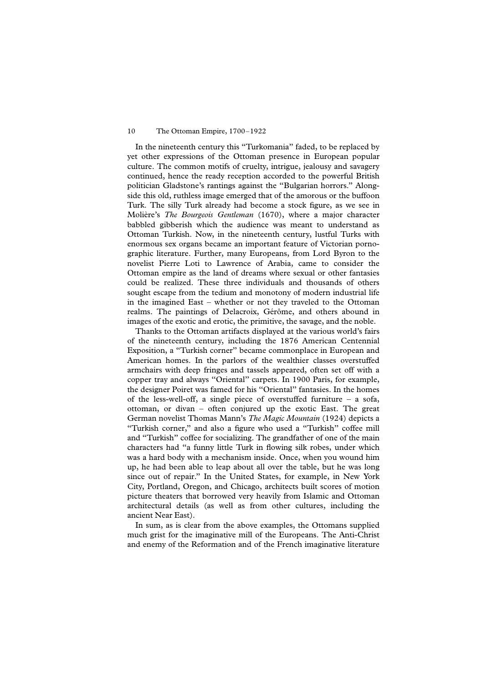In the nineteenth century this "Turkomania" faded, to be replaced by yet other expressions of the Ottoman presence in European popular culture. The common motifs of cruelty, intrigue, jealousy and savagery continued, hence the ready reception accorded to the powerful British politician Gladstone's rantings against the "Bulgarian horrors." Alongside this old, ruthless image emerged that of the amorous or the buffoon Turk. The silly Turk already had become a stock figure, as we see in Molière's The Bourgeois Gentleman (1670), where a major character babbled gibberish which the audience was meant to understand as Ottoman Turkish. Now, in the nineteenth century, lustful Turks with enormous sex organs became an important feature of Victorian pornographic literature. Further, many Europeans, from Lord Byron to the novelist Pierre Loti to Lawrence of Arabia, came to consider the Ottoman empire as the land of dreams where sexual or other fantasies could be realized. These three individuals and thousands of others sought escape from the tedium and monotony of modern industrial life in the imagined East - whether or not they traveled to the Ottoman realms. The paintings of Delacroix, Gérôme, and others abound in images of the exotic and erotic, the primitive, the savage, and the noble.

Thanks to the Ottoman artifacts displayed at the various world's fairs of the nineteenth century, including the 1876 American Centennial Exposition, a "Turkish corner" became commonplace in European and American homes. In the parlors of the wealthier classes overstuffed armchairs with deep fringes and tassels appeared, often set off with a copper tray and always "Oriental" carpets. In 1900 Paris, for example, the designer Poiret was famed for his "Oriental" fantasies. In the homes of the less-well-off, a single piece of overstuffed furniture  $-$  a sofa, ottoman, or divan  $-$  often conjured up the exotic East. The great German novelist Thomas Mann's The Magic Mountain (1924) depicts a "Turkish corner," and also a figure who used a "Turkish" coffee mill and "Turkish" coffee for socializing. The grandfather of one of the main characters had "a funny little Turk in flowing silk robes, under which was a hard body with a mechanism inside. Once, when you wound him up, he had been able to leap about all over the table, but he was long since out of repair.'' In the United States, for example, in New York City, Portland, Oregon, and Chicago, architects built scores of motion picture theaters that borrowed very heavily from Islamic and Ottoman architectural details (as well as from other cultures, including the ancient Near East).

In sum, as is clear from the above examples, the Ottomans supplied much grist for the imaginative mill of the Europeans. The Anti-Christ and enemy of the Reformation and of the French imaginative literature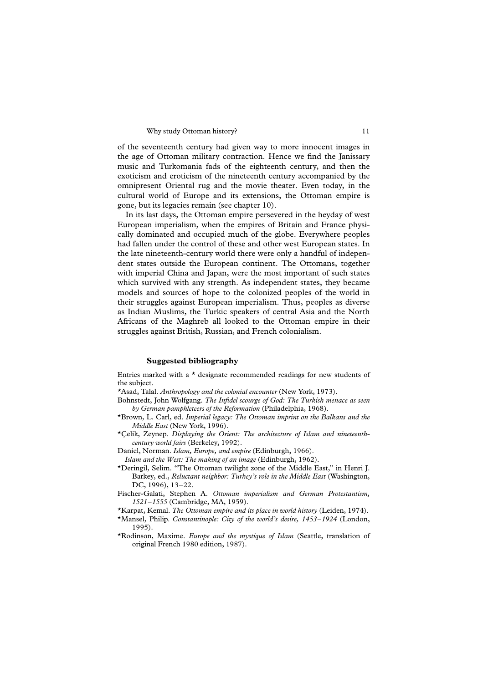of the seventeenth century had given way to more innocent images in the age of Ottoman military contraction. Hence we find the Janissary music and Turkomania fads of the eighteenth century, and then the exoticism and eroticism of the nineteenth century accompanied by the omnipresent Oriental rug and the movie theater. Even today, in the cultural world of Europe and its extensions, the Ottoman empire is gone, but its legacies remain (see chapter 10).

In its last days, the Ottoman empire persevered in the heyday of west European imperialism, when the empires of Britain and France physically dominated and occupied much of the globe. Everywhere peoples had fallen under the control of these and other west European states. In the late nineteenth-century world there were only a handful of independent states outside the European continent. The Ottomans, together with imperial China and Japan, were the most important of such states which survived with any strength. As independent states, they became models and sources of hope to the colonized peoples of the world in their struggles against European imperialism. Thus, peoples as diverse as Indian Muslims, the Turkic speakers of central Asia and the North Africans of the Maghreb all looked to the Ottoman empire in their struggles against British, Russian, and French colonialism.

### Suggested bibliography

Entries marked with a  $\star$  designate recommended readings for new students of the subject.

\*Asad, Talal. Anthropology and the colonial encounter (New York, 1973).

Bohnstedt, John Wolfgang. The Infidel scourge of God: The Turkish menace as seen by German pamphleteers of the Reformation (Philadelphia, 1968).

- \*Brown, L. Carl, ed. Imperial legacy: The Ottoman imprint on the Balkans and the Middle East (New York, 1996).
- \*Celik, Zeynep. Displaying the Orient: The architecture of Islam and nineteenthcentury world fairs (Berkeley, 1992).

Daniel, Norman. Islam, Europe, and empire (Edinburgh, 1966). Islam and the West: The making of an image (Edinburgh, 1962).

- \*Deringil, Selim. ``The Ottoman twilight zone of the Middle East,'' in Henri J. Barkey, ed., Reluctant neighbor: Turkey's role in the Middle East (Washington, DC, 1996), 13-22.
- Fischer-Galati, Stephen A. Ottoman imperialism and German Protestantism, 1521-1555 (Cambridge, MA, 1959).
- \*Karpat, Kemal. The Ottoman empire and its place in world history (Leiden, 1974).
- \*Mansel, Philip. Constantinople: City of the world's desire, 1453-1924 (London, 1995).
- \*Rodinson, Maxime. Europe and the mystique of Islam (Seattle, translation of original French 1980 edition, 1987).